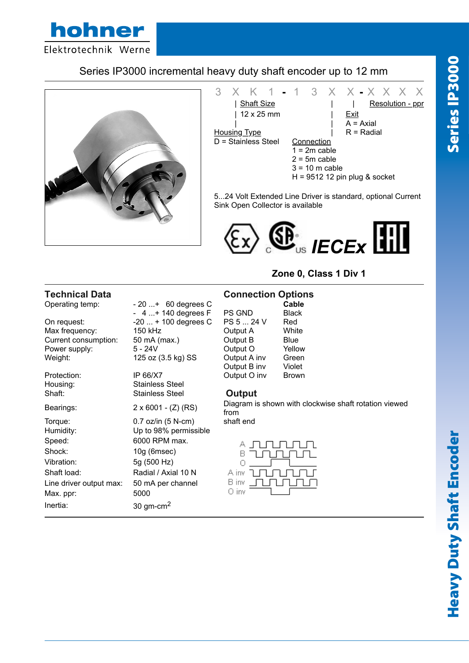

## Series IP3000 incremental heavy duty shaft encoder up to 12 mm



Inertia:  $30 \text{ gm-cm}^2$ 

| 3 X K 1 - 1 3 X X - X X X X |                                 |            |  |              |  |  |                  |  |
|-----------------------------|---------------------------------|------------|--|--------------|--|--|------------------|--|
| <b>Shaft Size</b>           |                                 |            |  |              |  |  | Resolution - ppr |  |
| 12 x 25 mm                  |                                 |            |  | Exit         |  |  |                  |  |
|                             |                                 |            |  | $A = Axial$  |  |  |                  |  |
| <b>Housing Type</b>         |                                 |            |  | $R = Radial$ |  |  |                  |  |
| $D =$ Stainless Steel       |                                 | Connection |  |              |  |  |                  |  |
|                             | $1 = 2m$ cable                  |            |  |              |  |  |                  |  |
|                             | $2 = 5m$ cable                  |            |  |              |  |  |                  |  |
|                             | $3 = 10$ m cable                |            |  |              |  |  |                  |  |
|                             | $H = 9512$ 12 pin plug & socket |            |  |              |  |  |                  |  |

5...24 Volt Extended Line Driver is standard, optional Current Sink Open Collector is available



**Zone 0, Class 1 Div 1**

| <b>Technical Data</b>   |                            | <b>Connection Options</b> |                                                       |  |
|-------------------------|----------------------------|---------------------------|-------------------------------------------------------|--|
| Operating temp:         | $-20$ + 60 degrees C       |                           | Cable                                                 |  |
|                         | $-4+140$ degrees F         | PS GND                    | <b>Black</b>                                          |  |
| On request:             | $-20 + 100$ degrees C      | PS 5  24 V                | Red                                                   |  |
| Max frequency:          | 150 kHz                    | Output A                  | White                                                 |  |
| Current consumption:    | 50 mA (max.)               | Output B                  | <b>Blue</b>                                           |  |
| Power supply:           | 5 - 24V                    | Output O                  | Yellow                                                |  |
| Weight:                 | 125 oz (3.5 kg) SS         | Output A inv              | Green                                                 |  |
|                         |                            | Output B inv              | Violet                                                |  |
| Protection:             | IP 66/X7                   | Output O inv              | <b>Brown</b>                                          |  |
| Housing:                | Stainless Steel            |                           |                                                       |  |
| Shaft:                  | Stainless Steel            | Output                    |                                                       |  |
| Bearings:               | $2 \times 6001 - (Z) (RS)$ | from                      | Diagram is shown with clockwise shaft rotation viewed |  |
| Torque:                 | $0.7$ oz/in $(5 N-cm)$     | shaft end                 |                                                       |  |
| Humidity:               | Up to 98% permissible      |                           |                                                       |  |
| Speed:                  | 6000 RPM max.              | А                         |                                                       |  |
| Shock:                  | 10g (6msec)                | в                         |                                                       |  |
| Vibration:              | 5g (500 Hz)                |                           |                                                       |  |
| Shaft load:             | Radial / Axial 10 N        | A inv                     |                                                       |  |
| Line driver output max: | 50 mA per channel          | B inv                     |                                                       |  |
| Max. ppr:               | 5000                       | 0 inv                     |                                                       |  |

Heavy Duty Shaft Encoder Series IP3000 **Heavy Duty Shaft Encoder**